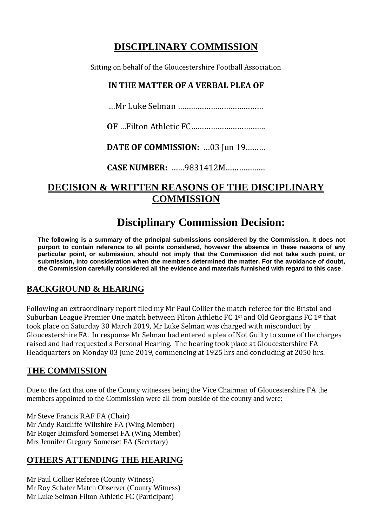# **DISCIPLINARY COMMISSION**

Sitting on behalf of the Gloucestershire Football Association

## **IN THE MATTER OF A VERBAL PLEA OF**

…Mr Luke Selman …………………………………

**OF** …Filton Athletic FC…………………………….

**DATE OF COMMISSION:** …03 Jun 19………

**CASE NUMBER:** ……9831412M………………

## **DECISION & WRITTEN REASONS OF THE DISCIPLINARY COMMISSION**

# **Disciplinary Commission Decision:**

**The following is a summary of the principal submissions considered by the Commission. It does not purport to contain reference to all points considered, however the absence in these reasons of any particular point, or submission, should not imply that the Commission did not take such point, or submission, into consideration when the members determined the matter. For the avoidance of doubt, the Commission carefully considered all the evidence and materials furnished with regard to this case**.

## **BACKGROUND & HEARING**

Following an extraordinary report filed my Mr Paul Collier the match referee for the Bristol and Suburban League Premier One match between Filton Athletic FC 1<sup>st</sup> and Old Georgians FC 1<sup>st</sup> that took place on Saturday 30 March 2019, Mr Luke Selman was charged with misconduct by Gloucestershire FA. In response Mr Selman had entered a plea of Not Guilty to some of the charges raised and had requested a Personal Hearing. The hearing took place at Gloucestershire FA Headquarters on Monday 03 June 2019, commencing at 1925 hrs and concluding at 2050 hrs.

## **THE COMMISSION**

Due to the fact that one of the County witnesses being the Vice Chairman of Gloucestershire FA the members appointed to the Commission were all from outside of the county and were:

Mr Steve Francis RAF FA (Chair) Mr Andy Ratcliffe Wiltshire FA (Wing Member) Mr Roger Brimsford Somerset FA (Wing Member) Mrs Jennifer Gregory Somerset FA (Secretary)

## **OTHERS ATTENDING THE HEARING**

Mr Paul Collier Referee (County Witness) Mr Roy Schafer Match Observer (County Witness) Mr Luke Selman Filton Athletic FC (Participant)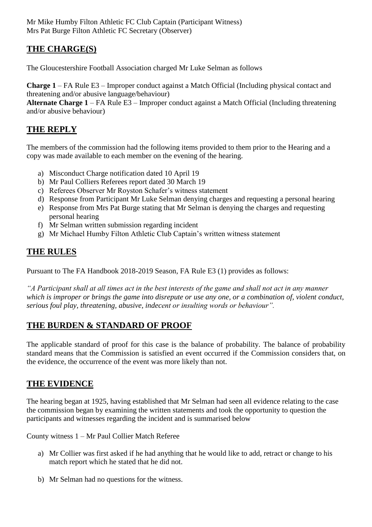Mr Mike Humby Filton Athletic FC Club Captain (Participant Witness) Mrs Pat Burge Filton Athletic FC Secretary (Observer)

## **THE CHARGE(S)**

The Gloucestershire Football Association charged Mr Luke Selman as follows

**Charge 1** – FA Rule E3 – Improper conduct against a Match Official (Including physical contact and threatening and/or abusive language/behaviour)

**Alternate Charge 1** – FA Rule E3 – Improper conduct against a Match Official (Including threatening and/or abusive behaviour)

## **THE REPLY**

The members of the commission had the following items provided to them prior to the Hearing and a copy was made available to each member on the evening of the hearing.

- a) Misconduct Charge notification dated 10 April 19
- b) Mr Paul Colliers Referees report dated 30 March 19
- c) Referees Observer Mr Royston Schafer's witness statement
- d) Response from Participant Mr Luke Selman denying charges and requesting a personal hearing
- e) Response from Mrs Pat Burge stating that Mr Selman is denying the charges and requesting personal hearing
- f) Mr Selman written submission regarding incident
- g) Mr Michael Humby Filton Athletic Club Captain's written witness statement

## **THE RULES**

Pursuant to The FA Handbook 2018-2019 Season, FA Rule E3 (1) provides as follows:

*"A Participant shall at all times act in the best interests of the game and shall not act in any manner which is improper or brings the game into disrepute or use any one, or a combination of, violent conduct, serious foul play, threatening, abusive, indecent or insulting words or behaviour".*

## **THE BURDEN & STANDARD OF PROOF**

The applicable standard of proof for this case is the balance of probability. The balance of probability standard means that the Commission is satisfied an event occurred if the Commission considers that, on the evidence, the occurrence of the event was more likely than not.

## **THE EVIDENCE**

The hearing began at 1925, having established that Mr Selman had seen all evidence relating to the case the commission began by examining the written statements and took the opportunity to question the participants and witnesses regarding the incident and is summarised below

County witness 1 – Mr Paul Collier Match Referee

- a) Mr Collier was first asked if he had anything that he would like to add, retract or change to his match report which he stated that he did not.
- b) Mr Selman had no questions for the witness.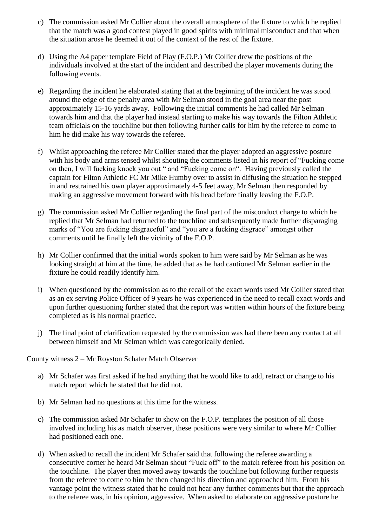- c) The commission asked Mr Collier about the overall atmosphere of the fixture to which he replied that the match was a good contest played in good spirits with minimal misconduct and that when the situation arose he deemed it out of the context of the rest of the fixture.
- d) Using the A4 paper template Field of Play (F.O.P.) Mr Collier drew the positions of the individuals involved at the start of the incident and described the player movements during the following events.
- e) Regarding the incident he elaborated stating that at the beginning of the incident he was stood around the edge of the penalty area with Mr Selman stood in the goal area near the post approximately 15-16 yards away. Following the initial comments he had called Mr Selman towards him and that the player had instead starting to make his way towards the Filton Athletic team officials on the touchline but then following further calls for him by the referee to come to him he did make his way towards the referee.
- f) Whilst approaching the referee Mr Collier stated that the player adopted an aggressive posture with his body and arms tensed whilst shouting the comments listed in his report of "Fucking come on then, I will fucking knock you out " and "Fucking come on". Having previously called the captain for Filton Athletic FC Mr Mike Humby over to assist in diffusing the situation he stepped in and restrained his own player approximately 4-5 feet away, Mr Selman then responded by making an aggressive movement forward with his head before finally leaving the F.O.P.
- g) The commission asked Mr Collier regarding the final part of the misconduct charge to which he replied that Mr Selman had returned to the touchline and subsequently made further disparaging marks of "You are fucking disgraceful" and "you are a fucking disgrace" amongst other comments until he finally left the vicinity of the F.O.P.
- h) Mr Collier confirmed that the initial words spoken to him were said by Mr Selman as he was looking straight at him at the time, he added that as he had cautioned Mr Selman earlier in the fixture he could readily identify him.
- i) When questioned by the commission as to the recall of the exact words used Mr Collier stated that as an ex serving Police Officer of 9 years he was experienced in the need to recall exact words and upon further questioning further stated that the report was written within hours of the fixture being completed as is his normal practice.
- j) The final point of clarification requested by the commission was had there been any contact at all between himself and Mr Selman which was categorically denied.

County witness 2 – Mr Royston Schafer Match Observer

- a) Mr Schafer was first asked if he had anything that he would like to add, retract or change to his match report which he stated that he did not.
- b) Mr Selman had no questions at this time for the witness.
- c) The commission asked Mr Schafer to show on the F.O.P. templates the position of all those involved including his as match observer, these positions were very similar to where Mr Collier had positioned each one.
- d) When asked to recall the incident Mr Schafer said that following the referee awarding a consecutive corner he heard Mr Selman shout "Fuck off" to the match referee from his position on the touchline. The player then moved away towards the touchline but following further requests from the referee to come to him he then changed his direction and approached him. From his vantage point the witness stated that he could not hear any further comments but that the approach to the referee was, in his opinion, aggressive. When asked to elaborate on aggressive posture he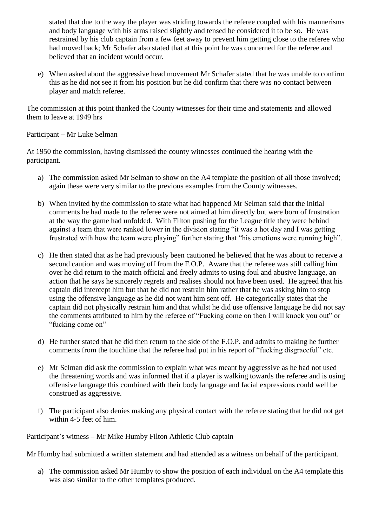stated that due to the way the player was striding towards the referee coupled with his mannerisms and body language with his arms raised slightly and tensed he considered it to be so. He was restrained by his club captain from a few feet away to prevent him getting close to the referee who had moved back; Mr Schafer also stated that at this point he was concerned for the referee and believed that an incident would occur.

e) When asked about the aggressive head movement Mr Schafer stated that he was unable to confirm this as he did not see it from his position but he did confirm that there was no contact between player and match referee.

The commission at this point thanked the County witnesses for their time and statements and allowed them to leave at 1949 hrs

Participant – Mr Luke Selman

At 1950 the commission, having dismissed the county witnesses continued the hearing with the participant.

- a) The commission asked Mr Selman to show on the A4 template the position of all those involved; again these were very similar to the previous examples from the County witnesses.
- b) When invited by the commission to state what had happened Mr Selman said that the initial comments he had made to the referee were not aimed at him directly but were born of frustration at the way the game had unfolded. With Filton pushing for the League title they were behind against a team that were ranked lower in the division stating "it was a hot day and I was getting frustrated with how the team were playing" further stating that "his emotions were running high".
- c) He then stated that as he had previously been cautioned he believed that he was about to receive a second caution and was moving off from the F.O.P. Aware that the referee was still calling him over he did return to the match official and freely admits to using foul and abusive language, an action that he says he sincerely regrets and realises should not have been used. He agreed that his captain did intercept him but that he did not restrain him rather that he was asking him to stop using the offensive language as he did not want him sent off. He categorically states that the captain did not physically restrain him and that whilst he did use offensive language he did not say the comments attributed to him by the referee of "Fucking come on then I will knock you out" or "fucking come on"
- d) He further stated that he did then return to the side of the F.O.P. and admits to making he further comments from the touchline that the referee had put in his report of "fucking disgraceful" etc.
- e) Mr Selman did ask the commission to explain what was meant by aggressive as he had not used the threatening words and was informed that if a player is walking towards the referee and is using offensive language this combined with their body language and facial expressions could well be construed as aggressive.
- f) The participant also denies making any physical contact with the referee stating that he did not get within 4-5 feet of him.

Participant's witness – Mr Mike Humby Filton Athletic Club captain

Mr Humby had submitted a written statement and had attended as a witness on behalf of the participant.

a) The commission asked Mr Humby to show the position of each individual on the A4 template this was also similar to the other templates produced.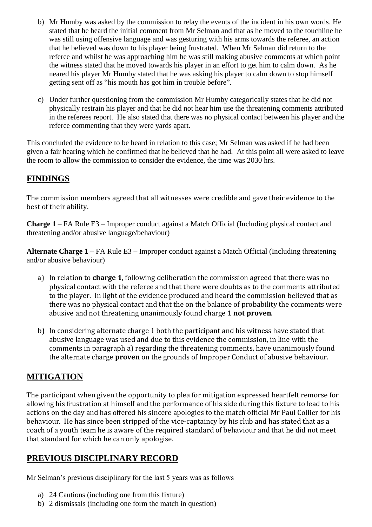- b) Mr Humby was asked by the commission to relay the events of the incident in his own words. He stated that he heard the initial comment from Mr Selman and that as he moved to the touchline he was still using offensive language and was gesturing with his arms towards the referee, an action that he believed was down to his player being frustrated. When Mr Selman did return to the referee and whilst he was approaching him he was still making abusive comments at which point the witness stated that he moved towards his player in an effort to get him to calm down. As he neared his player Mr Humby stated that he was asking his player to calm down to stop himself getting sent off as "his mouth has got him in trouble before".
- c) Under further questioning from the commission Mr Humby categorically states that he did not physically restrain his player and that he did not hear him use the threatening comments attributed in the referees report. He also stated that there was no physical contact between his player and the referee commenting that they were yards apart.

This concluded the evidence to be heard in relation to this case; Mr Selman was asked if he had been given a fair hearing which he confirmed that he believed that he had. At this point all were asked to leave the room to allow the commission to consider the evidence, the time was 2030 hrs.

#### **FINDINGS**

The commission members agreed that all witnesses were credible and gave their evidence to the best of their ability.

**Charge 1** – FA Rule E3 – Improper conduct against a Match Official (Including physical contact and threatening and/or abusive language/behaviour)

**Alternate Charge 1** – FA Rule E3 – Improper conduct against a Match Official (Including threatening and/or abusive behaviour)

- a) In relation to **charge 1**, following deliberation the commission agreed that there was no physical contact with the referee and that there were doubts as to the comments attributed to the player. In light of the evidence produced and heard the commission believed that as there was no physical contact and that the on the balance of probability the comments were abusive and not threatening unanimously found charge 1 **not proven**.
- b) In considering alternate charge 1 both the participant and his witness have stated that abusive language was used and due to this evidence the commission, in line with the comments in paragraph a) regarding the threatening comments, have unanimously found the alternate charge **proven** on the grounds of Improper Conduct of abusive behaviour.

## **MITIGATION**

The participant when given the opportunity to plea for mitigation expressed heartfelt remorse for allowing his frustration at himself and the performance of his side during this fixture to lead to his actions on the day and has offered his sincere apologies to the match official Mr Paul Collier for his behaviour. He has since been stripped of the vice-captaincy by his club and has stated that as a coach of a youth team he is aware of the required standard of behaviour and that he did not meet that standard for which he can only apologise.

## **PREVIOUS DISCIPLINARY RECORD**

Mr Selman's previous disciplinary for the last 5 years was as follows

- a) 24 Cautions (including one from this fixture)
- b) 2 dismissals (including one form the match in question)